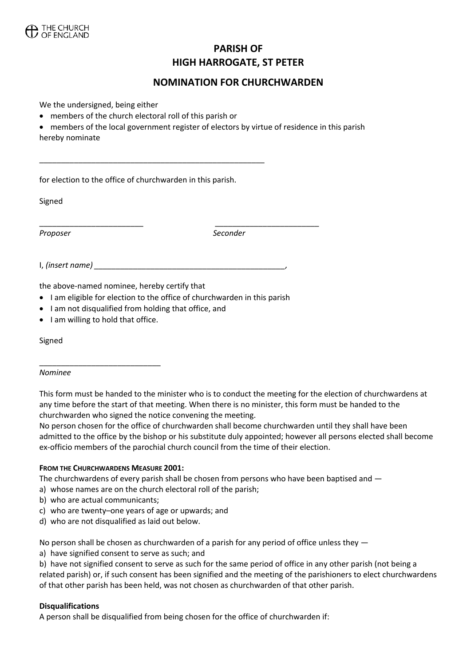

# **PARISH OF HIGH HARROGATE, ST PETER**

## **NOMINATION FOR CHURCHWARDEN**

We the undersigned, being either

- members of the church electoral roll of this parish or
- members of the local government register of electors by virtue of residence in this parish hereby nominate

for election to the office of churchwarden in this parish.

\_\_\_\_\_\_\_\_\_\_\_\_\_\_\_\_\_\_\_\_\_\_\_\_\_\_\_\_\_\_\_\_\_\_\_\_\_\_\_\_\_\_\_\_\_\_\_\_\_\_\_\_

Signed

*Proposer Seconder*

I, *(insert name) \_\_\_\_\_\_\_\_\_\_\_\_\_\_\_\_\_\_\_\_\_\_\_\_\_\_\_\_\_\_\_\_\_\_\_\_\_\_\_\_\_\_\_\_,* 

the above-named nominee, hereby certify that

• I am eligible for election to the office of churchwarden in this parish

\_\_\_\_\_\_\_\_\_\_\_\_\_\_\_\_\_\_\_\_\_\_\_\_ \_\_\_\_\_\_\_\_\_\_\_\_\_\_\_\_\_\_\_\_\_\_\_\_

- I am not disqualified from holding that office, and
- I am willing to hold that office.

\_\_\_\_\_\_\_\_\_\_\_\_\_\_\_\_\_\_\_\_\_\_\_\_\_\_\_\_

Signed

#### *Nominee*

This form must be handed to the minister who is to conduct the meeting for the election of churchwardens at any time before the start of that meeting. When there is no minister, this form must be handed to the churchwarden who signed the notice convening the meeting.

No person chosen for the office of churchwarden shall become churchwarden until they shall have been admitted to the office by the bishop or his substitute duly appointed; however all persons elected shall become ex-officio members of the parochial church council from the time of their election.

#### **FROM THE CHURCHWARDENS MEASURE 2001:**

The churchwardens of every parish shall be chosen from persons who have been baptised and —

- a) whose names are on the church electoral roll of the parish;
- b) who are actual communicants;
- c) who are twenty–one years of age or upwards; and
- d) who are not disqualified as laid out below.

No person shall be chosen as churchwarden of a parish for any period of office unless they —

a) have signified consent to serve as such; and

b) have not signified consent to serve as such for the same period of office in any other parish (not being a related parish) or, if such consent has been signified and the meeting of the parishioners to elect churchwardens of that other parish has been held, was not chosen as churchwarden of that other parish.

#### **Disqualifications**

A person shall be disqualified from being chosen for the office of churchwarden if: